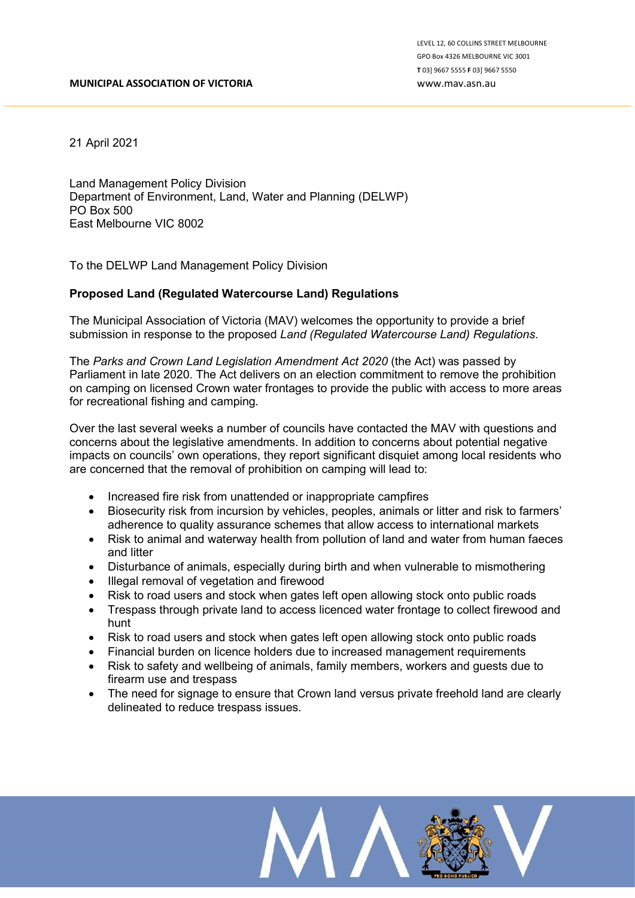21 April 2021

Land Management Policy Division Department of Environment, Land, Water and Planning (DELWP) PO Box 500 East Melbourne VIC 8002

To the DELWP Land Management Policy Division

## Proposed Land (Regulated Watercourse Land) Regulations

The Municipal Association of Victoria (MAV) welcomes the opportunity to provide a brief submission in response to the proposed Land (Regulated Watercourse Land) Regulations.

The Parks and Crown Land Legislation Amendment Act 2020 (the Act) was passed by Parliament in late 2020. The Act delivers on an election commitment to remove the prohibition on camping on licensed Crown water frontages to provide the public with access to more areas for recreational fishing and camping.

Over the last several weeks a number of councils have contacted the MAV with questions and concerns about the legislative amendments. In addition to concerns about potential negative impacts on councils' own operations, they report significant disquiet among local residents who are concerned that the removal of prohibition on camping will lead to:

- Increased fire risk from unattended or inappropriate campfires
- Biosecurity risk from incursion by vehicles, peoples, animals or litter and risk to farmers' adherence to quality assurance schemes that allow access to international markets
- Risk to animal and waterway health from pollution of land and water from human faeces and litter
- Disturbance of animals, especially during birth and when vulnerable to mismothering
- Illegal removal of vegetation and firewood
- Risk to road users and stock when gates left open allowing stock onto public roads
- Trespass through private land to access licenced water frontage to collect firewood and hunt
- Risk to road users and stock when gates left open allowing stock onto public roads
- Financial burden on licence holders due to increased management requirements
- Risk to safety and wellbeing of animals, family members, workers and guests due to firearm use and trespass
- The need for signage to ensure that Crown land versus private freehold land are clearly delineated to reduce trespass issues.